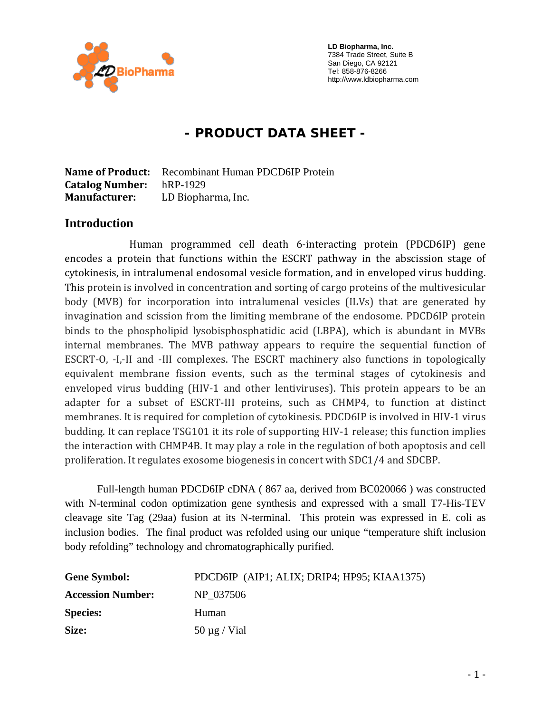

 **LD Biopharma, Inc.**  7384 Trade Street, Suite B San Diego, CA 92121 Tel: 858-876-8266 http://www.ldbiopharma.com

# **- PRODUCT DATA SHEET -**

**Name of Product:** Recombinant Human PDCD6IP Protein **Catalog Number:** hRP-1929 **Manufacturer:** LD Biopharma, Inc.

#### **Introduction**

 Human programmed cell death 6‐interacting protein (PDCD6IP) gene encodes a protein that functions within the ESCRT pathway in the abscission stage of cytokinesis, in intralumenal endosomal vesicle formation, and in enveloped virus budding. This protein is involved in concentration and sorting of cargo proteins of the multivesicular body (MVB) for incorporation into intralumenal vesicles (ILVs) that are generated by invagination and scission from the limiting membrane of the endosome. PDCD6IP protein binds to the phospholipid lysobisphosphatidic acid (LBPA), which is abundant in MVBs internal membranes. The MVB pathway appears to require the sequential function of ESCRT-O, -I,-II and -III complexes. The ESCRT machinery also functions in topologically equivalent membrane fission events, such as the terminal stages of cytokinesis and enveloped virus budding (HIV-1 and other lentiviruses). This protein appears to be an adapter for a subset of ESCRT-III proteins, such as CHMP4, to function at distinct membranes. It is required for completion of cytokinesis. PDCD6IP is involved in HIV‐1 virus budding. It can replace TSG101 it its role of supporting HIV‐1 release; this function implies the interaction with CHMP4B. It may play a role in the regulation of both apoptosis and cell proliferation. It regulates exosome biogenesis in concert with SDC1/4 and SDCBP.

Full-length human PDCD6IP cDNA ( 867 aa, derived from BC020066 ) was constructed with N-terminal codon optimization gene synthesis and expressed with a small T7-His-TEV cleavage site Tag (29aa) fusion at its N-terminal. This protein was expressed in E. coli as inclusion bodies. The final product was refolded using our unique "temperature shift inclusion body refolding" technology and chromatographically purified.

| <b>Gene Symbol:</b>      | PDCD6IP (AIP1; ALIX; DRIP4; HP95; KIAA1375) |
|--------------------------|---------------------------------------------|
| <b>Accession Number:</b> | NP 037506                                   |
| <b>Species:</b>          | Human                                       |
| Size:                    | $50 \mu g$ / Vial                           |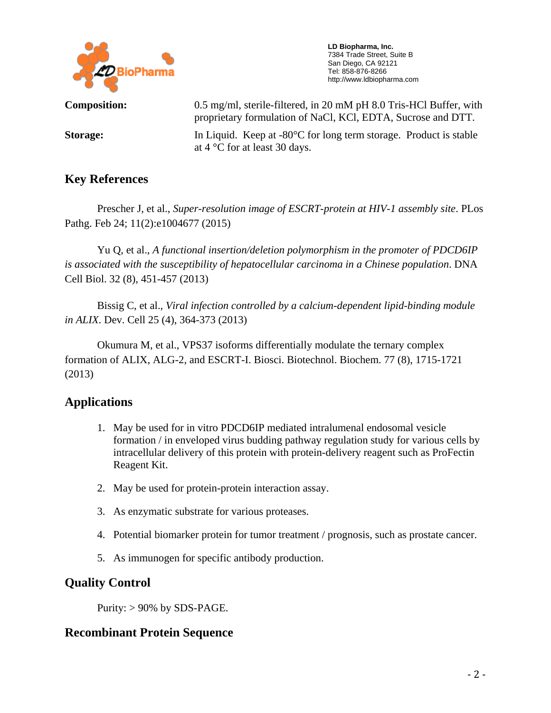

 **LD Biopharma, Inc.**  7384 Trade Street, Suite B San Diego, CA 92121 Tel: 858-876-8266 http://www.ldbiopharma.com

**Composition:** 0.5 mg/ml, sterile-filtered, in 20 mM pH 8.0 Tris-HCl Buffer, with proprietary formulation of NaCl, KCl, EDTA, Sucrose and DTT.

**Storage:** In Liquid. Keep at -80°C for long term storage. Product is stable at 4 °C for at least 30 days.

## **Key References**

 Prescher J, et al., *Super-resolution image of ESCRT-protein at HIV-1 assembly site*. PLos Pathg. Feb 24; 11(2):e1004677 (2015)

 Yu Q, et al., *A functional insertion/deletion polymorphism in the promoter of PDCD6IP is associated with the susceptibility of hepatocellular carcinoma in a Chinese population*. DNA Cell Biol. 32 (8), 451-457 (2013)

 Bissig C, et al., *Viral infection controlled by a calcium-dependent lipid-binding module in ALIX*. Dev. Cell 25 (4), 364-373 (2013)

Okumura M, et al., VPS37 isoforms differentially modulate the ternary complex formation of ALIX, ALG-2, and ESCRT-I. Biosci. Biotechnol. Biochem. 77 (8), 1715-1721 (2013)

## **Applications**

- 1. May be used for in vitro PDCD6IP mediated intralumenal endosomal vesicle formation / in enveloped virus budding pathway regulation study for various cells by intracellular delivery of this protein with protein-delivery reagent such as ProFectin Reagent Kit.
- 2. May be used for protein-protein interaction assay.
- 3. As enzymatic substrate for various proteases.
- 4. Potential biomarker protein for tumor treatment / prognosis, such as prostate cancer.
- 5. As immunogen for specific antibody production.

### **Quality Control**

Purity:  $> 90\%$  by SDS-PAGE.

### **Recombinant Protein Sequence**